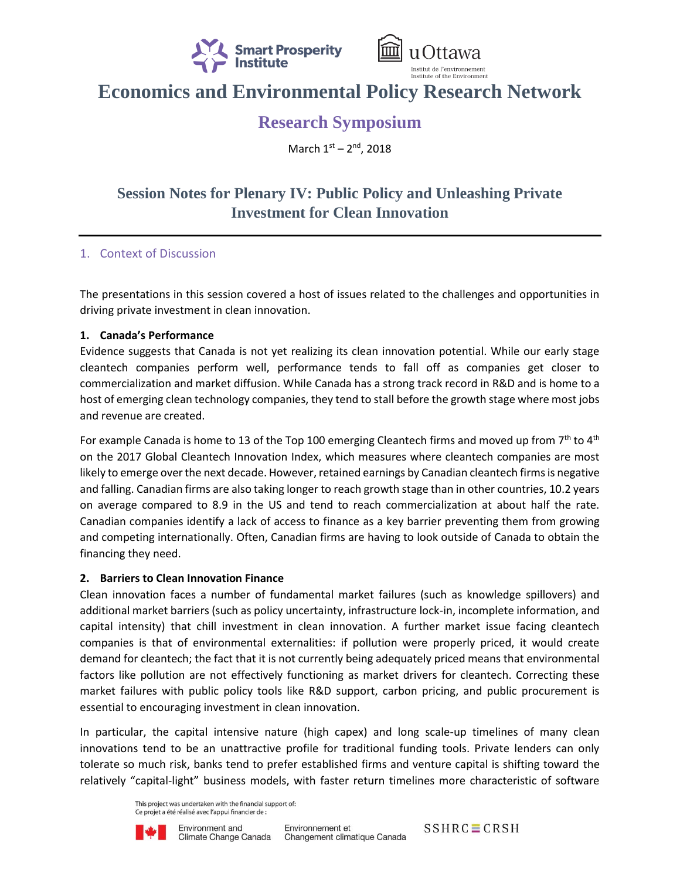



# **Economics and Environmental Policy Research Network**

# **Research Symposium**

March 1st - 2<sup>nd</sup>, 2018

# **Session Notes for Plenary IV: Public Policy and Unleashing Private Investment for Clean Innovation**

## 1. Context of Discussion

The presentations in this session covered a host of issues related to the challenges and opportunities in driving private investment in clean innovation.

#### **1. Canada's Performance**

Evidence suggests that Canada is not yet realizing its clean innovation potential. While our early stage cleantech companies perform well, performance tends to fall off as companies get closer to commercialization and market diffusion. While Canada has a strong track record in R&D and is home to a host of emerging clean technology companies, they tend to stall before the growth stage where most jobs and revenue are created.

For example Canada is home to 13 of the Top 100 emerging Cleantech firms and moved up from  $7<sup>th</sup>$  to  $4<sup>th</sup>$ on the 2017 Global Cleantech Innovation Index, which measures where cleantech companies are most likely to emerge over the next decade. However, retained earnings by Canadian cleantech firms is negative and falling. Canadian firms are also taking longer to reach growth stage than in other countries, 10.2 years on average compared to 8.9 in the US and tend to reach commercialization at about half the rate. Canadian companies identify a lack of access to finance as a key barrier preventing them from growing and competing internationally. Often, Canadian firms are having to look outside of Canada to obtain the financing they need.

### **2. Barriers to Clean Innovation Finance**

Clean innovation faces a number of fundamental market failures (such as knowledge spillovers) and additional market barriers (such as policy uncertainty, infrastructure lock-in, incomplete information, and capital intensity) that chill investment in clean innovation. A further market issue facing cleantech companies is that of environmental externalities: if pollution were properly priced, it would create demand for cleantech; the fact that it is not currently being adequately priced means that environmental factors like pollution are not effectively functioning as market drivers for cleantech. Correcting these market failures with public policy tools like R&D support, carbon pricing, and public procurement is essential to encouraging investment in clean innovation.

In particular, the capital intensive nature (high capex) and long scale-up timelines of many clean innovations tend to be an unattractive profile for traditional funding tools. Private lenders can only tolerate so much risk, banks tend to prefer established firms and venture capital is shifting toward the relatively "capital-light" business models, with faster return timelines more characteristic of software

> This project was undertaken with the financial support of: Ce projet a été réalisé avec l'appui financier de :



 $SSHRC \equiv CRSH$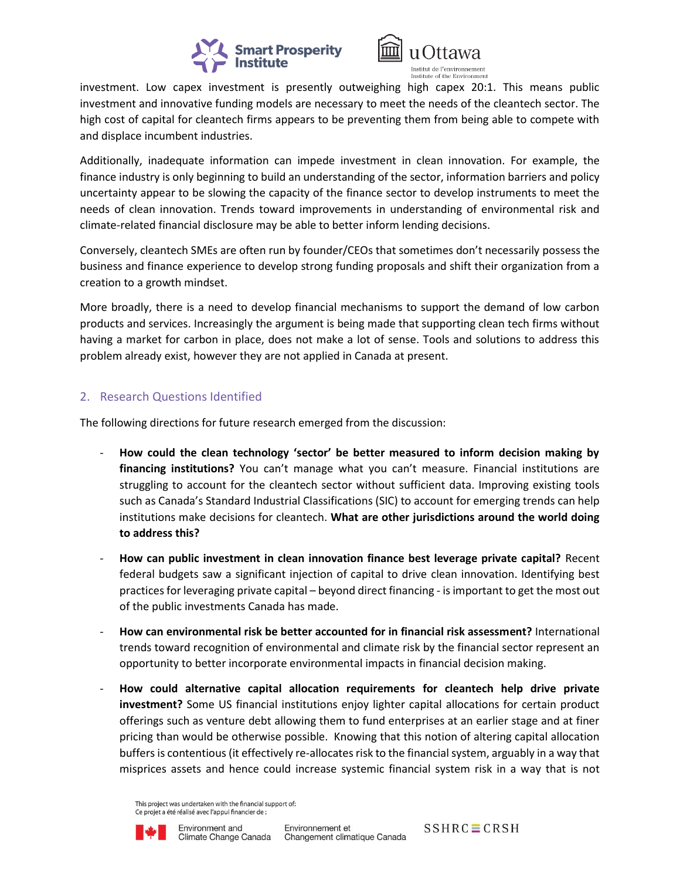



investment. Low capex investment is presently outweighing high capex 20:1. This means public investment and innovative funding models are necessary to meet the needs of the cleantech sector. The high cost of capital for cleantech firms appears to be preventing them from being able to compete with and displace incumbent industries.

Additionally, inadequate information can impede investment in clean innovation. For example, the finance industry is only beginning to build an understanding of the sector, information barriers and policy uncertainty appear to be slowing the capacity of the finance sector to develop instruments to meet the needs of clean innovation. Trends toward improvements in understanding of environmental risk and climate-related financial disclosure may be able to better inform lending decisions.

Conversely, cleantech SMEs are often run by founder/CEOs that sometimes don't necessarily possess the business and finance experience to develop strong funding proposals and shift their organization from a creation to a growth mindset.

More broadly, there is a need to develop financial mechanisms to support the demand of low carbon products and services. Increasingly the argument is being made that supporting clean tech firms without having a market for carbon in place, does not make a lot of sense. Tools and solutions to address this problem already exist, however they are not applied in Canada at present.

### 2. Research Questions Identified

The following directions for future research emerged from the discussion:

- **How could the clean technology 'sector' be better measured to inform decision making by financing institutions?** You can't manage what you can't measure. Financial institutions are struggling to account for the cleantech sector without sufficient data. Improving existing tools such as Canada's Standard Industrial Classifications (SIC) to account for emerging trends can help institutions make decisions for cleantech. **What are other jurisdictions around the world doing to address this?**
- **How can public investment in clean innovation finance best leverage private capital?** Recent federal budgets saw a significant injection of capital to drive clean innovation. Identifying best practices for leveraging private capital – beyond direct financing - is important to get the most out of the public investments Canada has made.
- **How can environmental risk be better accounted for in financial risk assessment?** International trends toward recognition of environmental and climate risk by the financial sector represent an opportunity to better incorporate environmental impacts in financial decision making.
- **How could alternative capital allocation requirements for cleantech help drive private investment?** Some US financial institutions enjoy lighter capital allocations for certain product offerings such as venture debt allowing them to fund enterprises at an earlier stage and at finer pricing than would be otherwise possible. Knowing that this notion of altering capital allocation buffers is contentious (it effectively re-allocates risk to the financial system, arguably in a way that misprices assets and hence could increase systemic financial system risk in a way that is not

This project was undertaken with the financial support of: Ce projet a été réalisé avec l'appui financier de :



 $SSHRC \equiv CRSH$